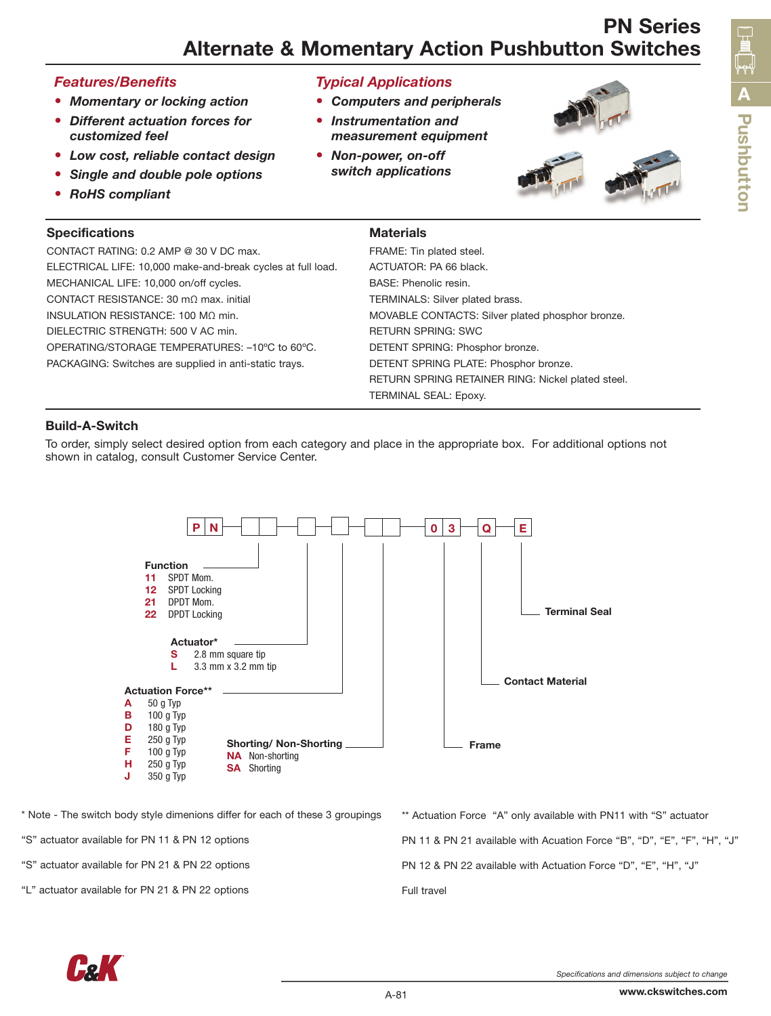# PN Series Alternate & Momentary Action Pushbutton Switches

### *Features/Benefits*

- *• Momentary or locking action*
- *• Different actuation forces for customized feel*
- *• Low cost, reliable contact design*
- *• Single and double pole options*
- *• RoHS compliant*

## Specifica

*Typical Applications*

- *Computers and peripherals*
- *Instrumentation and measurement equipment*
- *Non-power, on-off switch applications*



| <b>Specifications</b>                                       | <b>Materials</b>                                  |
|-------------------------------------------------------------|---------------------------------------------------|
| CONTACT RATING: 0.2 AMP @ 30 V DC max.                      | FRAME: Tin plated steel.                          |
| ELECTRICAL LIFE: 10,000 make-and-break cycles at full load. | ACTUATOR: PA 66 black.                            |
| MECHANICAL LIFE: 10,000 on/off cycles.                      | BASE: Phenolic resin.                             |
| CONTACT RESISTANCE: 30 m $\Omega$ max. initial              | TERMINALS: Silver plated brass.                   |
| INSULATION RESISTANCE: 100 M $\Omega$ min.                  | MOVABLE CONTACTS: Silver plated phosphor bronze.  |
| DIELECTRIC STRENGTH: 500 V AC min.                          | <b>RETURN SPRING: SWC</b>                         |
| OPERATING/STORAGE TEMPERATURES: -10°C to 60°C.              | DETENT SPRING: Phosphor bronze.                   |
| PACKAGING: Switches are supplied in anti-static trays.      | DETENT SPRING PLATE: Phosphor bronze.             |
|                                                             | RETURN SPRING RETAINER RING: Nickel plated steel. |
|                                                             | TERMINAL SEAL: Epoxy.                             |

### Build-A-Switch

To order, simply select desired option from each category and place in the appropriate box. For additional options not shown in catalog, consult Customer Service Center.



\* Note - The switch body style dimenions differ for each of these 3 groupings

"S" actuator available for PN 11 & PN 12 options

"S" actuator available for PN 21 & PN 22 options

"L" actuator available for PN 21 & PN 22 options

\*\* Actuation Force "A" only available with PN11 with "S" actuator PN 11 & PN 21 available with Acuation Force "B", "D", "E", "F", "H", "J" PN 12 & PN 22 available with Actuation Force "D", "E", "H", "J" Full travel



www.ckswitches.com

**n**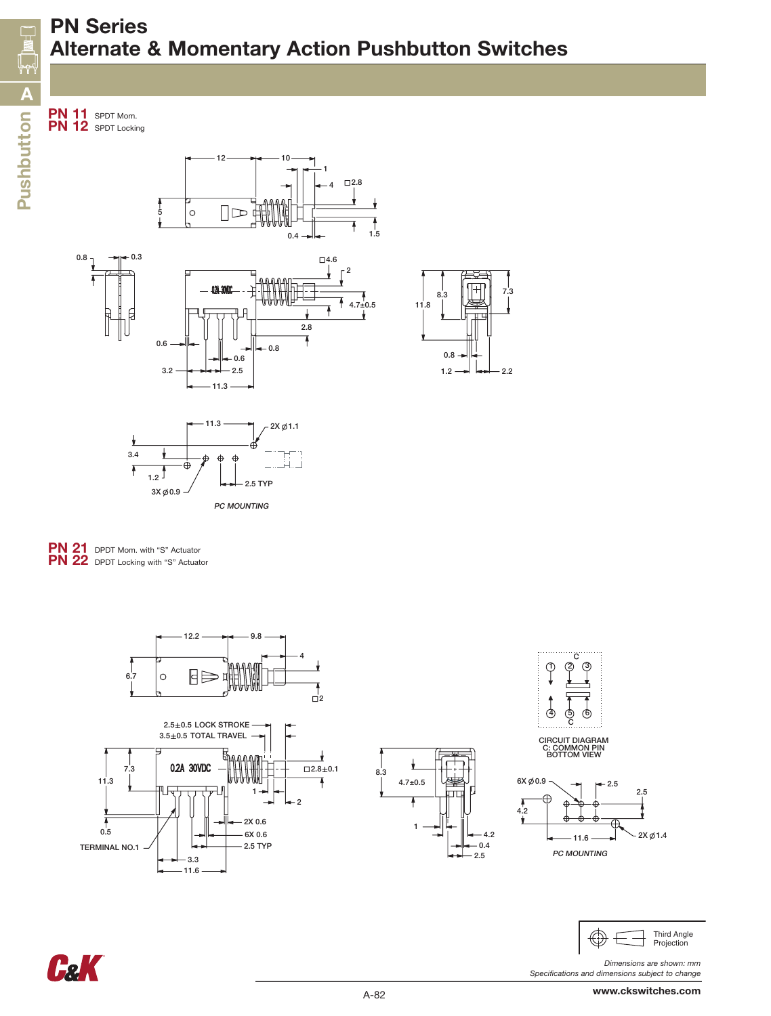2.8

 $\overline{\mathcal{L}}$ 

÷

PN 11 SPDT Mom. PN 12 SPDT Locking







 $-11.3$ 

3.2

2.5 0.6 0.6 0.8













*Dimensions are shown: mm Specifications and dimensions subject to change*